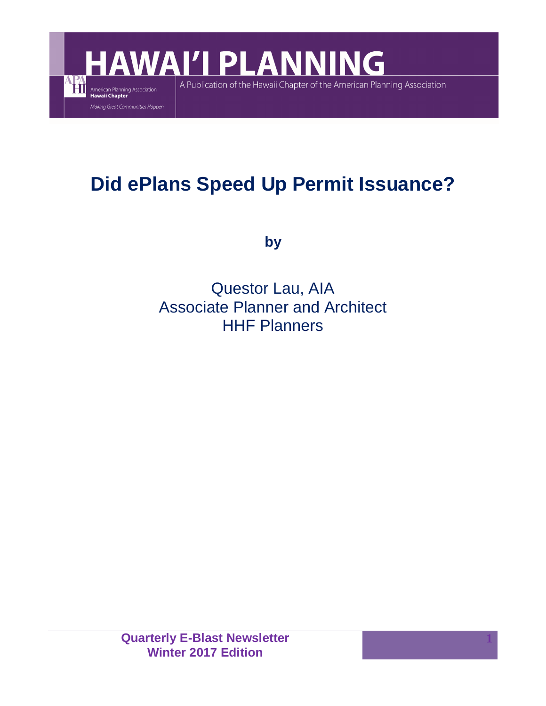

# **Did ePlans Speed Up Permit Issuance?**

**by**

Questor Lau, AIA Associate Planner and Architect HHF Planners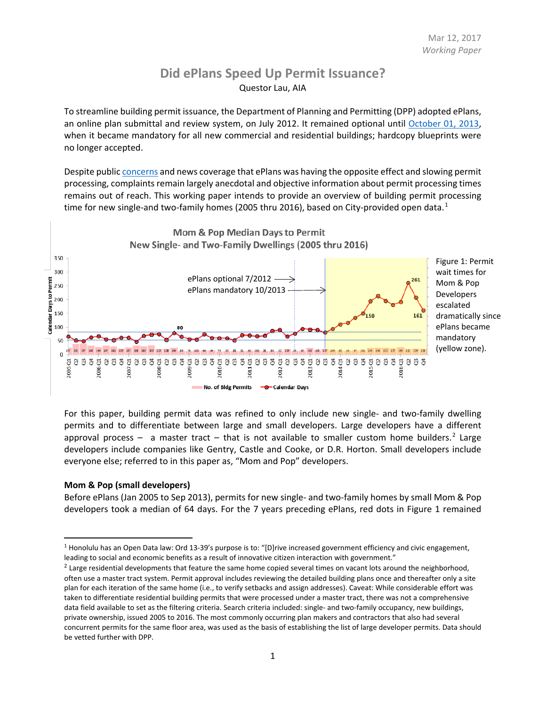## **Did ePlans Speed Up Permit Issuance?**  Questor Lau, AIA

To streamline building permit issuance, the Department of Planning and Permitting (DPP) adopted ePlans, an online plan submittal and review system, on July 2012. It remained optional until [October 01, 2013,](http://www.honoluludpp.org/Portals/0/pdfs/construction/eplans%20new%20buildings%20press%20release%20.pdf) when it became mandatory for all new commercial and residential buildings; hardcopy blueprints were no longer accepted.

Despite publi[c concerns](http://khon2.com/2014/08/25/longer-waits-reported-for-new-building-permits-costs-balloon-as-projects-sit-idle/) and news coverage that ePlans was having the opposite effect and slowing permit processing, complaints remain largely anecdotal and objective information about permit processing times remains out of reach. This working paper intends to provide an overview of building permit processing time for new single-and two-family homes (2005 thru 20[1](#page-1-0)6), based on City-provided open data.<sup>1</sup>



For this paper, building permit data was refined to only include new single- and two-family dwelling permits and to differentiate between large and small developers. Large developers have a different approval process - a master tract - that is not available to smaller custom home builders.<sup>[2](#page-1-1)</sup> Large developers include companies like Gentry, Castle and Cooke, or D.R. Horton. Small developers include everyone else; referred to in this paper as, "Mom and Pop" developers.

### **Mom & Pop (small developers)**

Before ePlans (Jan 2005 to Sep 2013), permits for new single- and two-family homes by small Mom & Pop developers took a median of 64 days. For the 7 years preceding ePlans, red dots in Figure 1 remained

<span id="page-1-0"></span><sup>&</sup>lt;sup>1</sup> Honolulu has an Open Data law: Ord 13-39's purpose is to: "[D]rive increased government efficiency and civic engagement, leading to social and economic benefits as a result of innovative citizen interaction with government."

<span id="page-1-1"></span> $2$  Large residential developments that feature the same home copied several times on vacant lots around the neighborhood, often use a master tract system. Permit approval includes reviewing the detailed building plans once and thereafter only a site plan for each iteration of the same home (i.e., to verify setbacks and assign addresses). Caveat: While considerable effort was taken to differentiate residential building permits that were processed under a master tract, there was not a comprehensive data field available to set as the filtering criteria. Search criteria included: single- and two-family occupancy, new buildings, private ownership, issued 2005 to 2016. The most commonly occurring plan makers and contractors that also had several concurrent permits for the same floor area, was used as the basis of establishing the list of large developer permits. Data should be vetted further with DPP.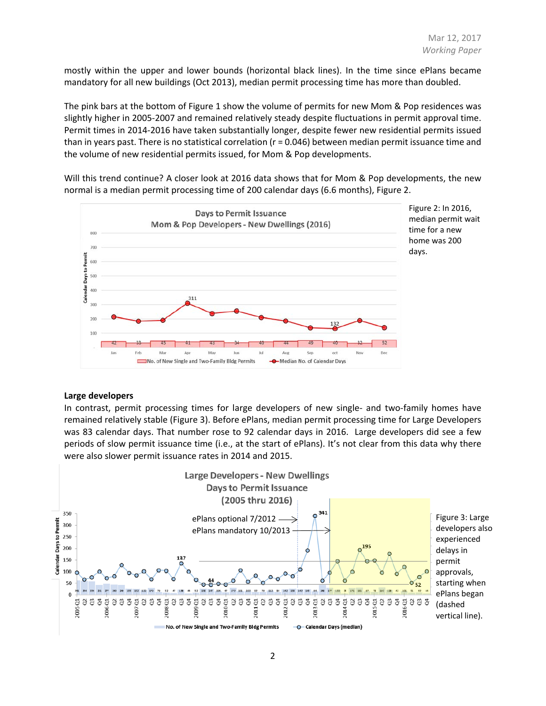mostly within the upper and lower bounds (horizontal black lines). In the time since ePlans became mandatory for all new buildings (Oct 2013), median permit processing time has more than doubled.

The pink bars at the bottom of Figure 1 show the volume of permits for new Mom & Pop residences was slightly higher in 2005-2007 and remained relatively steady despite fluctuations in permit approval time. Permit times in 2014-2016 have taken substantially longer, despite fewer new residential permits issued than in years past. There is no statistical correlation (r = 0.046) between median permit issuance time and the volume of new residential permits issued, for Mom & Pop developments.

Will this trend continue? A closer look at 2016 data shows that for Mom & Pop developments, the new normal is a median permit processing time of 200 calendar days (6.6 months), Figure 2.



#### **Large developers**

In contrast, permit processing times for large developers of new single- and two-family homes have remained relatively stable (Figure 3). Before ePlans, median permit processing time for Large Developers was 83 calendar days. That number rose to 92 calendar days in 2016. Large developers did see a few periods of slow permit issuance time (i.e., at the start of ePlans). It's not clear from this data why there were also slower permit issuance rates in 2014 and 2015.

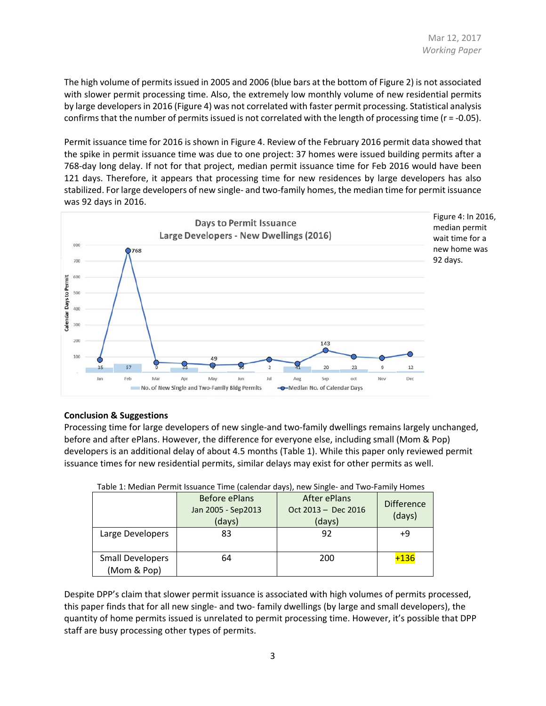The high volume of permits issued in 2005 and 2006 (blue bars at the bottom of Figure 2) is not associated with slower permit processing time. Also, the extremely low monthly volume of new residential permits by large developersin 2016 (Figure 4) was not correlated with faster permit processing. Statistical analysis confirms that the number of permits issued is not correlated with the length of processing time (r = -0.05).

Permit issuance time for 2016 is shown in Figure 4. Review of the February 2016 permit data showed that the spike in permit issuance time was due to one project: 37 homes were issued building permits after a 768-day long delay. If not for that project, median permit issuance time for Feb 2016 would have been 121 days. Therefore, it appears that processing time for new residences by large developers has also stabilized. For large developers of new single- and two-family homes, the median time for permit issuance was 92 days in 2016.



### **Conclusion & Suggestions**

Processing time for large developers of new single-and two-family dwellings remains largely unchanged, before and after ePlans. However, the difference for everyone else, including small (Mom & Pop) developers is an additional delay of about 4.5 months (Table 1). While this paper only reviewed permit issuance times for new residential permits, similar delays may exist for other permits as well.

|                         |                                               | .                                             |                             |
|-------------------------|-----------------------------------------------|-----------------------------------------------|-----------------------------|
|                         | Before ePlans<br>Jan 2005 - Sep2013<br>(days) | After ePlans<br>Oct 2013 - Dec 2016<br>(days) | <b>Difference</b><br>(days) |
| Large Developers        | 83                                            | 92                                            | $+9$                        |
|                         |                                               |                                               |                             |
| <b>Small Developers</b> | 64                                            | 200                                           | $+136$                      |
| (Mom & Pop)             |                                               |                                               |                             |

| Table 1: Median Permit Issuance Time (calendar days), new Single- and Two-Family Homes |  |  |  |  |
|----------------------------------------------------------------------------------------|--|--|--|--|
|                                                                                        |  |  |  |  |

Despite DPP's claim that slower permit issuance is associated with high volumes of permits processed, this paper finds that for all new single- and two- family dwellings (by large and small developers), the quantity of home permits issued is unrelated to permit processing time. However, it's possible that DPP staff are busy processing other types of permits.